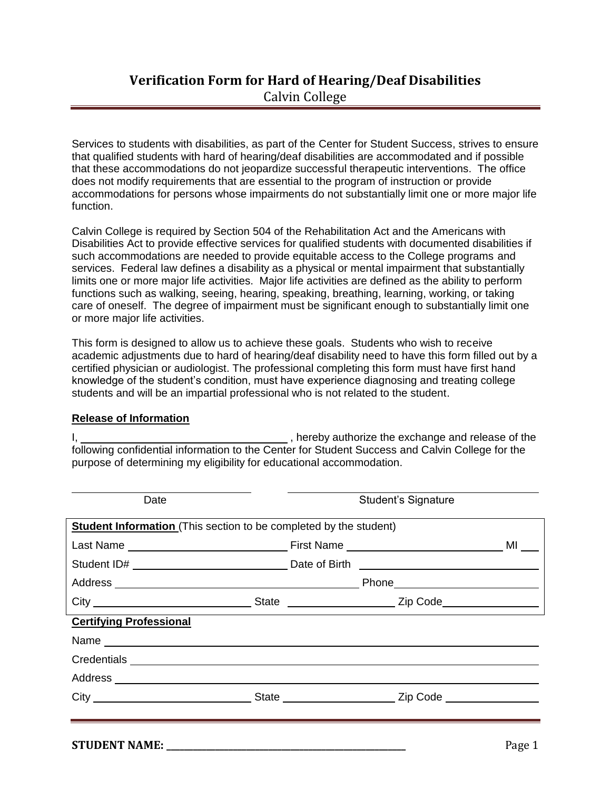# **Verification Form for Hard of Hearing/Deaf Disabilities** Calvin College

Services to students with disabilities, as part of the Center for Student Success, strives to ensure that qualified students with hard of hearing/deaf disabilities are accommodated and if possible that these accommodations do not jeopardize successful therapeutic interventions. The office does not modify requirements that are essential to the program of instruction or provide accommodations for persons whose impairments do not substantially limit one or more major life function.

Calvin College is required by Section 504 of the Rehabilitation Act and the Americans with Disabilities Act to provide effective services for qualified students with documented disabilities if such accommodations are needed to provide equitable access to the College programs and services. Federal law defines a disability as a physical or mental impairment that substantially limits one or more major life activities. Major life activities are defined as the ability to perform functions such as walking, seeing, hearing, speaking, breathing, learning, working, or taking care of oneself. The degree of impairment must be significant enough to substantially limit one or more major life activities.

This form is designed to allow us to achieve these goals. Students who wish to receive academic adjustments due to hard of hearing/deaf disability need to have this form filled out by a certified physician or audiologist. The professional completing this form must have first hand knowledge of the student's condition, must have experience diagnosing and treating college students and will be an impartial professional who is not related to the student.

### **Release of Information**

I, 1. All the exchange and release of the state of the state of the state of the state of the state of the state of the state of the state of the state of the state of the state of the state of the state of the state of th following confidential information to the Center for Student Success and Calvin College for the purpose of determining my eligibility for educational accommodation.

| Date                           |                                                                          | <b>Student's Signature</b> |  |  |
|--------------------------------|--------------------------------------------------------------------------|----------------------------|--|--|
|                                | <b>Student Information</b> (This section to be completed by the student) |                            |  |  |
|                                |                                                                          | MILLER                     |  |  |
|                                |                                                                          |                            |  |  |
|                                |                                                                          |                            |  |  |
|                                |                                                                          |                            |  |  |
| <b>Certifying Professional</b> |                                                                          |                            |  |  |
|                                |                                                                          |                            |  |  |
|                                |                                                                          |                            |  |  |
|                                |                                                                          |                            |  |  |
|                                |                                                                          |                            |  |  |
|                                |                                                                          |                            |  |  |
|                                |                                                                          |                            |  |  |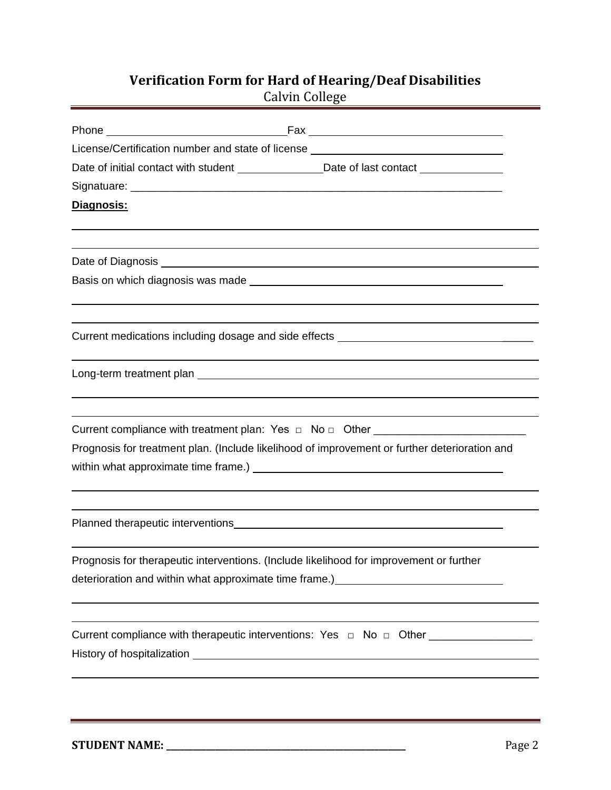## **Verification Form for Hard of Hearing/Deaf Disabilities**

Calvin College

| License/Certification number and state of license ______________________________                                                                                                                                                                                                                                                  |
|-----------------------------------------------------------------------------------------------------------------------------------------------------------------------------------------------------------------------------------------------------------------------------------------------------------------------------------|
| Date of initial contact with student _________________Date of last contact ________________                                                                                                                                                                                                                                       |
|                                                                                                                                                                                                                                                                                                                                   |
| Diagnosis:                                                                                                                                                                                                                                                                                                                        |
|                                                                                                                                                                                                                                                                                                                                   |
|                                                                                                                                                                                                                                                                                                                                   |
|                                                                                                                                                                                                                                                                                                                                   |
|                                                                                                                                                                                                                                                                                                                                   |
| Current medications including dosage and side effects ___________________________                                                                                                                                                                                                                                                 |
|                                                                                                                                                                                                                                                                                                                                   |
| Current compliance with treatment plan: Yes □ No □ Other _______________________                                                                                                                                                                                                                                                  |
| Prognosis for treatment plan. (Include likelihood of improvement or further deterioration and                                                                                                                                                                                                                                     |
|                                                                                                                                                                                                                                                                                                                                   |
| Planned therapeutic interventions<br><u> and the contract of the contract of the contract of the contract of the contract of the contract of the contract of</u>                                                                                                                                                                  |
| Prognosis for therapeutic interventions. (Include likelihood for improvement or further<br>deterioration and within what approximate time frame.)<br><u>example and the set of the set of the set of the set of the set of the set of the set of the set of the set of the set of the set of the set of the set of the set of</u> |
| Current compliance with therapeutic interventions: Yes □ No □ Other _____________                                                                                                                                                                                                                                                 |
|                                                                                                                                                                                                                                                                                                                                   |
|                                                                                                                                                                                                                                                                                                                                   |